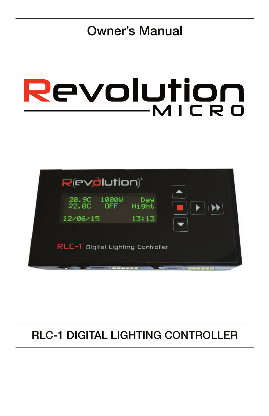# Owner's Manual

# Revolution  $-MICRO$



### RLC-1 DIGITAL LIGHTING CONTROLLER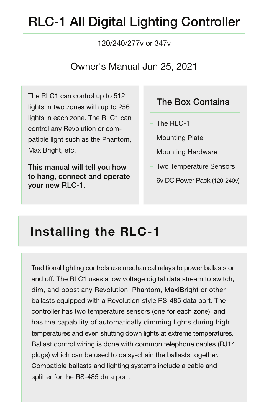# RLC-1 All Digital Lighting Controller

#### 120/240/277v or 347v

#### Owner's Manual Jun 25, 2021

The RLC1 can control up to 512 lights in two zones with up to 256 lights in each zone. The RLC1 can control any Revolution or compatible light such as the Phantom, MaxiBright, etc.

This manual will tell you how to hang, connect and operate your new RLC-1.

#### The Box Contains

- The RLC-1
- Mounting Plate
- Mounting Hardware
- Two Temperature Sensors
- 6v DC Power Pack (120-240v)

# **Installing the RLC-1**

Traditional lighting controls use mechanical relays to power ballasts on and off. The RLC1 uses a low voltage digital data stream to switch, dim, and boost any Revolution, Phantom, MaxiBright or other ballasts equipped with a Revolution-style RS-485 data port. The controller has two temperature sensors (one for each zone), and has the capability of automatically dimming lights during high temperatures and even shutting down lights at extreme temperatures. Ballast control wiring is done with common telephone cables (RJ14 plugs) which can be used to daisy-chain the ballasts together. Compatible ballasts and lighting systems include a cable and splitter for the RS-485 data port.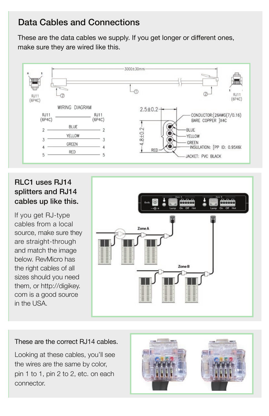#### Data Cables and Connections

These are the data cables we supply. If you get longer or different ones, make sure they are wired like this.



#### RLC1 uses RJ14 splitters and RJ14 cables up like this.

If you get RJ-type cables from a local source, make sure they are straight-through and match the image below. RevMicro has the right cables of all sizes should you need them, or http://digikey. com is a good source in the USA.



#### These are the correct RJ14 cables.

Looking at these cables, you'll see the wires are the same by color, pin 1 to 1, pin 2 to 2, etc. on each connector.

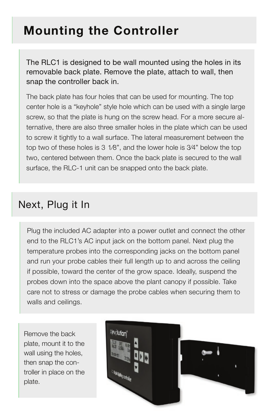# **Mounting the Controller**

The RLC1 is designed to be wall mounted using the holes in its removable back plate. Remove the plate, attach to wall, then snap the controller back in.

The back plate has four holes that can be used for mounting. The top center hole is a "keyhole" style hole which can be used with a single large screw, so that the plate is hung on the screw head. For a more secure alternative, there are also three smaller holes in the plate which can be used to screw it tightly to a wall surface. The lateral measurement between the top two of these holes is 3 1⁄8", and the lower hole is 3⁄4" below the top two, centered between them. Once the back plate is secured to the wall surface, the RLC-1 unit can be snapped onto the back plate.

#### Next, Plug it In

Plug the included AC adapter into a power outlet and connect the other end to the RLC1's AC input jack on the bottom panel. Next plug the temperature probes into the corresponding jacks on the bottom panel and run your probe cables their full length up to and across the ceiling if possible, toward the center of the grow space. Ideally, suspend the probes down into the space above the plant canopy if possible. Take care not to stress or damage the probe cables when securing them to walls and ceilings.

Remove the back plate, mount it to the wall using the holes, then snap the controller in place on the plate.

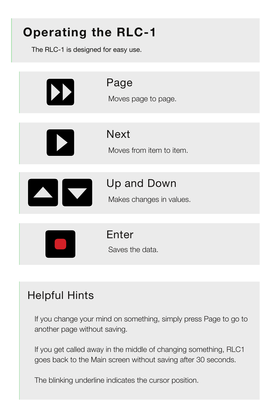# **Operating the RLC-1**

The RLC-1 is designed for easy use.



### Helpful Hints

If you change your mind on something, simply press Page to go to another page without saving.

If you get called away in the middle of changing something, RLC1 goes back to the Main screen without saving after 30 seconds.

The blinking underline indicates the cursor position.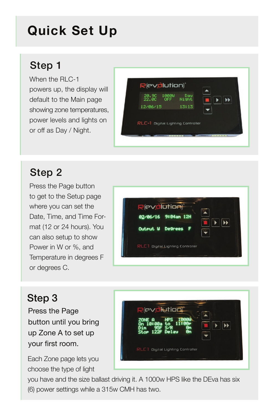# **Quick Set Up**

### Step 1

When the RLC-1 powers up, the display will default to the Main page showing zone temperatures, power levels and lights on or off as Day / Night.



### Step 2

Press the Page button to get to the Setup page where you can set the Date, Time, and Time Format (12 or 24 hours). You can also setup to show Power in W or %, and Temperature in degrees F or degrees C.



### Step 3

Press the Page button until you bring up Zone A to set up your first room.

Each Zone page lets you choose the type of light



you have and the size ballast driving it. A 1000w HPS like the DEva has six (6) power settings while a 315w CMH has two.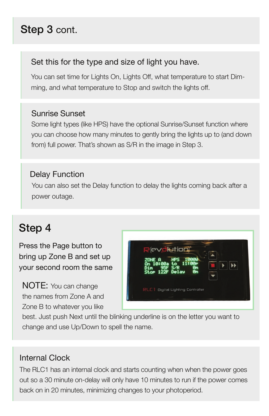## Step 3 cont.

#### Set this for the type and size of light you have.

You can set time for Lights On, Lights Off, what temperature to start Dimming, and what temperature to Stop and switch the lights off.

#### Sunrise Sunset

Some light types (like HPS) have the optional Sunrise/Sunset function where you can choose how many minutes to gently bring the lights up to (and down from) full power. That's shown as S/R in the image in Step 3.

#### Delay Function

 You can also set the Delay function to delay the lights coming back after a power outage.

### Step 4

Press the Page button to bring up Zone B and set up your second room the same

NOTE: You can change the names from Zone A and Zone B to whatever you like



best. Just push Next until the blinking underline is on the letter you want to change and use Up/Down to spell the name.

#### Internal Clock

The RLC1 has an internal clock and starts counting when when the power goes out so a 30 minute on-delay will only have 10 minutes to run if the power comes back on in 20 minutes, minimizing changes to your photoperiod.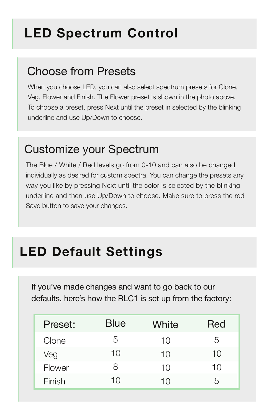# **LED Spectrum Control**

### Choose from Presets

When you choose LED, you can also select spectrum presets for Clone, Veg, Flower and Finish. The Flower preset is shown in the photo above. To choose a preset, press Next until the preset in selected by the blinking underline and use Up/Down to choose.

### Customize your Spectrum

The Blue / White / Red levels go from 0-10 and can also be changed individually as desired for custom spectra. You can change the presets any way you like by pressing Next until the color is selected by the blinking underline and then use Up/Down to choose. Make sure to press the red Save button to save your changes.

# **LED Default Settings**

If you've made changes and want to go back to our defaults, here's how the RLC1 is set up from the factory:

| Preset: | <b>Blue</b> | White | Red |
|---------|-------------|-------|-----|
| Clone   | 5           | 10    | 5   |
| Veg     | 10          | 10    | 10  |
| Flower  | Χ           | 10    | 10  |
| Finish  | 10          | 10    | 5   |